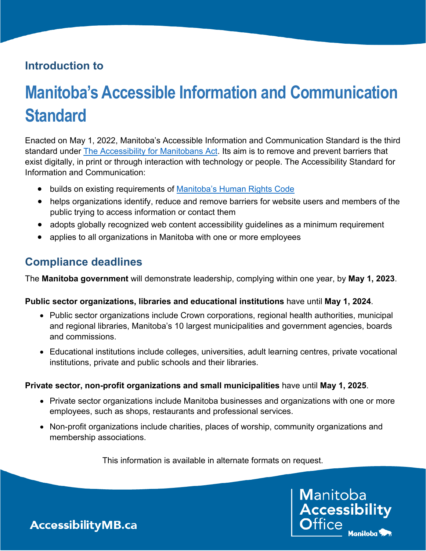### **Introduction to**

# **Manitoba's Accessible Information and Communication Standard**

Enacted on May 1, 2022, Manitoba's Accessible Information and Communication Standard is the third standard under [The Accessibility for Manitobans Act.](https://accessibilitymb.ca/) Its aim is to remove and prevent barriers that exist digitally, in print or through interaction with technology or people. The Accessibility Standard for Information and Communication:

- builds on existing requirements of Manitoba's [Human Rights Code](http://www.manitobahumanrights.ca/)
- helps organizations identify, reduce and remove barriers for website users and members of the public trying to access information or contact them
- adopts globally recognized web content accessibility guidelines as a minimum requirement
- applies to all organizations in Manitoba with one or more employees

#### **Compliance deadlines**

The **Manitoba government** will demonstrate leadership, complying within one year, by **May 1, 2023**.

#### **Public sector organizations, libraries and educational institutions** have until **May 1, 2024**.

- Public sector organizations include Crown corporations, regional health authorities, municipal and regional libraries, Manitoba's 10 largest municipalities and government agencies, boards and commissions.
- Educational institutions include colleges, universities, adult learning centres, private vocational institutions, private and public schools and their libraries.

#### **Private sector, non-profit organizations and small municipalities** have until **May 1, 2025**.

- Private sector organizations include Manitoba businesses and organizations with one or more employees, such as shops, restaurants and professional services.
- Non-profit organizations include charities, places of worship, community organizations and membership associations.

This information is available in alternate formats on request.

**Manitoba** Accessibility Manitoba<sup>1</sup>

**AccessibilityMB.ca**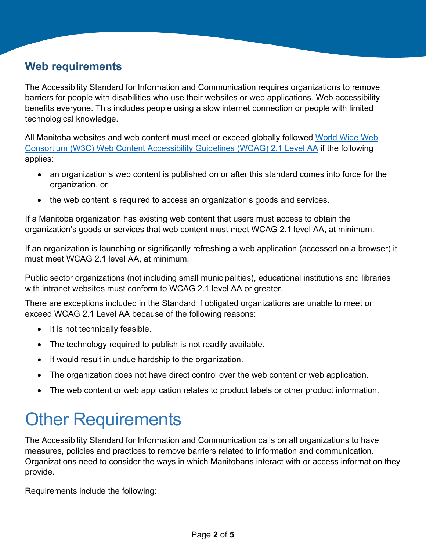### <span id="page-1-0"></span>**Web requirements**

The Accessibility Standard for Information and Communication requires organizations to remove barriers for people with disabilities who use their websites or web applications. Web accessibility benefits everyone. This includes people using a slow internet connection or people with limited technological knowledge.

All Manitoba websites and web content must meet or exceed globally followed [World Wide Web](https://www.w3.org/TR/WCAG21/)  [Consortium \(W3C\) Web Content Accessibility Guidelines \(WCAG\) 2.1 Level AA](https://www.w3.org/TR/WCAG21/) if the following applies:

- an organization's web content is published on or after this standard comes into force for the organization, or
- the web content is required to access an organization's goods and services.

If a Manitoba organization has existing web content that users must access to obtain the organization's goods or services that web content must meet WCAG 2.1 level AA, at minimum.

If an organization is launching or significantly refreshing a web application (accessed on a browser) it must meet WCAG 2.1 level AA, at minimum.

Public sector organizations (not including small municipalities), educational institutions and libraries with intranet websites must conform to WCAG 2.1 level AA or greater.

There are exceptions included in the Standard if obligated organizations are unable to meet or exceed WCAG 2.1 Level AA because of the following reasons:

- It is not technically feasible.
- The technology required to publish is not readily available.
- It would result in undue hardship to the organization.
- The organization does not have direct control over the web content or web application.
- The web content or web application relates to product labels or other product information.

## <span id="page-1-1"></span>**Other Requirements**

The Accessibility Standard for Information and Communication calls on all organizations to have measures, policies and practices to remove barriers related to information and communication. Organizations need to consider the ways in which Manitobans interact with or access information they provide.

Requirements include the following: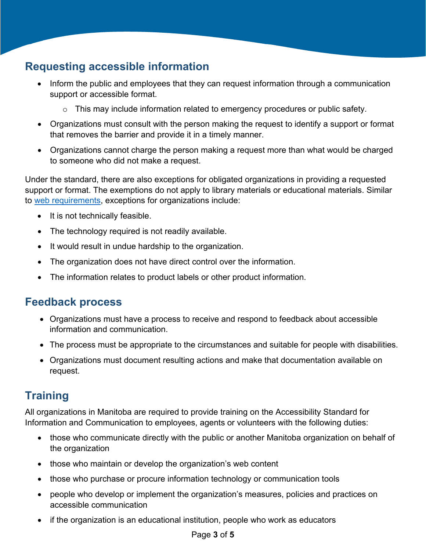### **Requesting accessible information**

- Inform the public and employees that they can request information through a communication support or accessible format.
	- o This may include information related to emergency procedures or public safety.
- Organizations must consult with the person making the request to identify a support or format that removes the barrier and provide it in a timely manner.
- Organizations cannot charge the person making a request more than what would be charged to someone who did not make a request.

Under the standard, there are also exceptions for obligated organizations in providing a requested support or format. The exemptions do not apply to library materials or educational materials. Similar to [web requirements,](#page-1-0) exceptions for organizations include:

- It is not technically feasible.
- The technology required is not readily available.
- It would result in undue hardship to the organization.
- The organization does not have direct control over the information.
- The information relates to product labels or other product information.

#### **Feedback process**

- Organizations must have a process to receive and respond to feedback about accessible information and communication.
- The process must be appropriate to the circumstances and suitable for people with disabilities.
- Organizations must document resulting actions and make that documentation available on request.

#### **Training**

All organizations in Manitoba are required to provide training on the Accessibility Standard for Information and Communication to employees, agents or volunteers with the following duties:

- those who communicate directly with the public or another Manitoba organization on behalf of the organization
- those who maintain or develop the organization's web content
- those who purchase or procure information technology or communication tools
- people who develop or implement the organization's measures, policies and practices on accessible communication
- if the organization is an educational institution, people who work as educators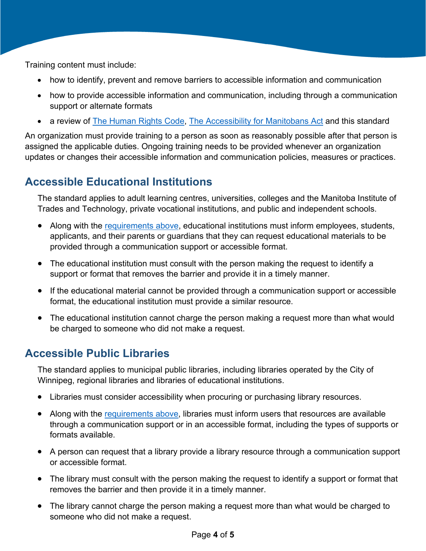Training content must include:

- how to identify, prevent and remove barriers to accessible information and communication
- how to provide accessible information and communication, including through a communication support or alternate formats
- a review of [The Human Rights Code,](https://web2.gov.mb.ca/laws/statutes/ccsm/h175e.php) [The Accessibility for Manitobans Act](https://accessibilitymb.ca/law.html) and this standard

An organization must provide training to a person as soon as reasonably possible after that person is assigned the applicable duties. Ongoing training needs to be provided whenever an organization updates or changes their accessible information and communication policies, measures or practices.

### **Accessible Educational Institutions**

The standard applies to adult learning centres, universities, colleges and the Manitoba Institute of Trades and Technology, private vocational institutions, and public and independent schools.

- Along with the [requirements above,](#page-1-1) educational institutions must inform employees, students, applicants, and their parents or guardians that they can request educational materials to be provided through a communication support or accessible format.
- The educational institution must consult with the person making the request to identify a support or format that removes the barrier and provide it in a timely manner.
- If the educational material cannot be provided through a communication support or accessible format, the educational institution must provide a similar resource.
- The educational institution cannot charge the person making a request more than what would be charged to someone who did not make a request.

### **Accessible Public Libraries**

The standard applies to municipal public libraries, including libraries operated by the City of Winnipeg, regional libraries and libraries of educational institutions.

- Libraries must consider accessibility when procuring or purchasing library resources.
- Along with the [requirements above,](#page-1-1) libraries must inform users that resources are available through a communication support or in an accessible format, including the types of supports or formats available.
- A person can request that a library provide a library resource through a communication support or accessible format.
- The library must consult with the person making the request to identify a support or format that removes the barrier and then provide it in a timely manner.
- The library cannot charge the person making a request more than what would be charged to someone who did not make a request.